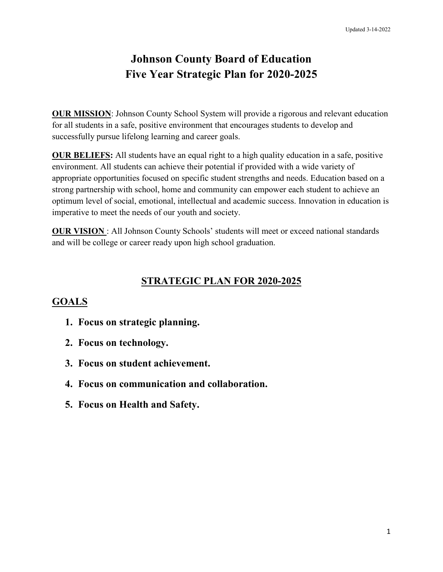# **Johnson County Board of Education Five Year Strategic Plan for 2020-2025**

**OUR MISSION:** Johnson County School System will provide a rigorous and relevant education for all students in a safe, positive environment that encourages students to develop and successfully pursue lifelong learning and career goals.

**OUR BELIEFS:** All students have an equal right to a high quality education in a safe, positive environment. All students can achieve their potential if provided with a wide variety of appropriate opportunities focused on specific student strengths and needs. Education based on a strong partnership with school, home and community can empower each student to achieve an optimum level of social, emotional, intellectual and academic success. Innovation in education is imperative to meet the needs of our youth and society.

**OUR VISION**: All Johnson County Schools' students will meet or exceed national standards and will be college or career ready upon high school graduation.

#### **STRATEGIC PLAN FOR 2020-2025**

#### **GOALS**

- **1. Focus on strategic planning.**
- **2. Focus on technology.**
- **3. Focus on student achievement.**
- **4. Focus on communication and collaboration.**
- **5. Focus on Health and Safety.**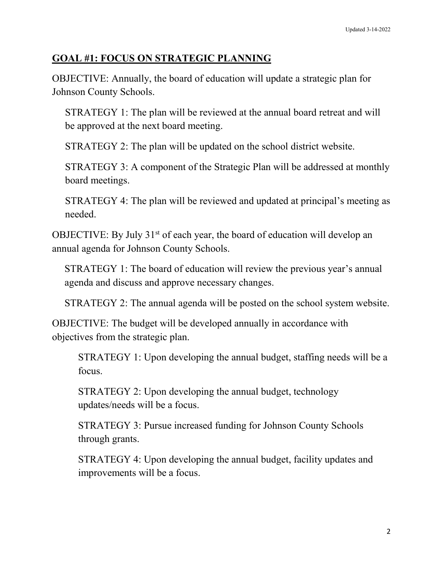#### **GOAL #1: FOCUS ON STRATEGIC PLANNING**

OBJECTIVE: Annually, the board of education will update a strategic plan for Johnson County Schools.

STRATEGY 1: The plan will be reviewed at the annual board retreat and will be approved at the next board meeting.

STRATEGY 2: The plan will be updated on the school district website.

STRATEGY 3: A component of the Strategic Plan will be addressed at monthly board meetings.

STRATEGY 4: The plan will be reviewed and updated at principal's meeting as needed.

OBJECTIVE: By July 31<sup>st</sup> of each year, the board of education will develop an annual agenda for Johnson County Schools.

STRATEGY 1: The board of education will review the previous year's annual agenda and discuss and approve necessary changes.

STRATEGY 2: The annual agenda will be posted on the school system website.

OBJECTIVE: The budget will be developed annually in accordance with objectives from the strategic plan.

STRATEGY 1: Upon developing the annual budget, staffing needs will be a focus.

STRATEGY 2: Upon developing the annual budget, technology updates/needs will be a focus.

STRATEGY 3: Pursue increased funding for Johnson County Schools through grants.

STRATEGY 4: Upon developing the annual budget, facility updates and improvements will be a focus.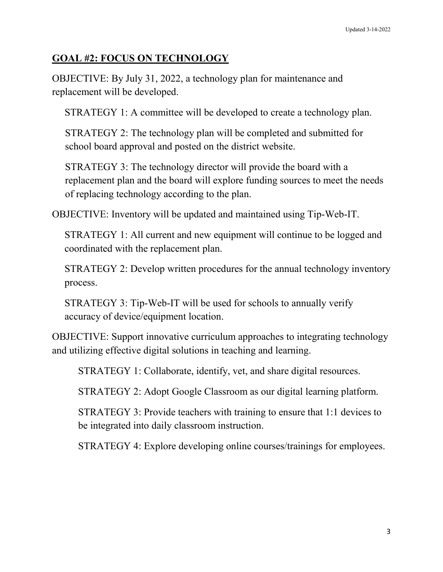#### **GOAL #2: FOCUS ON TECHNOLOGY**

OBJECTIVE: By July 31, 2022, a technology plan for maintenance and replacement will be developed.

STRATEGY 1: A committee will be developed to create a technology plan.

STRATEGY 2: The technology plan will be completed and submitted for school board approval and posted on the district website.

STRATEGY 3: The technology director will provide the board with a replacement plan and the board will explore funding sources to meet the needs of replacing technology according to the plan.

OBJECTIVE: Inventory will be updated and maintained using Tip-Web-IT.

STRATEGY 1: All current and new equipment will continue to be logged and coordinated with the replacement plan.

STRATEGY 2: Develop written procedures for the annual technology inventory process.

STRATEGY 3: Tip-Web-IT will be used for schools to annually verify accuracy of device/equipment location.

OBJECTIVE: Support innovative curriculum approaches to integrating technology and utilizing effective digital solutions in teaching and learning.

STRATEGY 1: Collaborate, identify, vet, and share digital resources.

STRATEGY 2: Adopt Google Classroom as our digital learning platform.

STRATEGY 3: Provide teachers with training to ensure that 1:1 devices to be integrated into daily classroom instruction.

STRATEGY 4: Explore developing online courses/trainings for employees.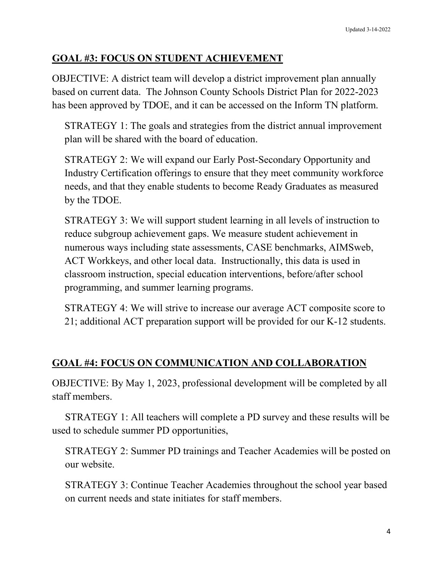### **GOAL #3: FOCUS ON STUDENT ACHIEVEMENT**

OBJECTIVE: A district team will develop a district improvement plan annually based on current data. The Johnson County Schools District Plan for 2022-2023 has been approved by TDOE, and it can be accessed on the Inform TN platform.

STRATEGY 1: The goals and strategies from the district annual improvement plan will be shared with the board of education.

STRATEGY 2: We will expand our Early Post-Secondary Opportunity and Industry Certification offerings to ensure that they meet community workforce needs, and that they enable students to become Ready Graduates as measured by the TDOE.

STRATEGY 3: We will support student learning in all levels of instruction to reduce subgroup achievement gaps. We measure student achievement in numerous ways including state assessments, CASE benchmarks, AIMSweb, ACT Workkeys, and other local data. Instructionally, this data is used in classroom instruction, special education interventions, before/after school programming, and summer learning programs.

STRATEGY 4: We will strive to increase our average ACT composite score to 21; additional ACT preparation support will be provided for our K-12 students.

## **GOAL #4: FOCUS ON COMMUNICATION AND COLLABORATION**

OBJECTIVE: By May 1, 2023, professional development will be completed by all staff members.

STRATEGY 1: All teachers will complete a PD survey and these results will be used to schedule summer PD opportunities,

STRATEGY 2: Summer PD trainings and Teacher Academies will be posted on our website.

STRATEGY 3: Continue Teacher Academies throughout the school year based on current needs and state initiates for staff members.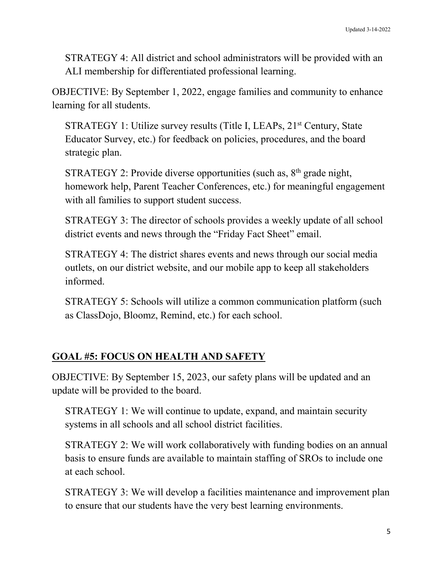STRATEGY 4: All district and school administrators will be provided with an ALI membership for differentiated professional learning.

OBJECTIVE: By September 1, 2022, engage families and community to enhance learning for all students.

STRATEGY 1: Utilize survey results (Title I, LEAPs, 21<sup>st</sup> Century, State Educator Survey, etc.) for feedback on policies, procedures, and the board strategic plan.

STRATEGY 2: Provide diverse opportunities (such as,  $8<sup>th</sup>$  grade night, homework help, Parent Teacher Conferences, etc.) for meaningful engagement with all families to support student success.

STRATEGY 3: The director of schools provides a weekly update of all school district events and news through the "Friday Fact Sheet" email.

STRATEGY 4: The district shares events and news through our social media outlets, on our district website, and our mobile app to keep all stakeholders informed.

STRATEGY 5: Schools will utilize a common communication platform (such as ClassDojo, Bloomz, Remind, etc.) for each school.

### **GOAL #5: FOCUS ON HEALTH AND SAFETY**

OBJECTIVE: By September 15, 2023, our safety plans will be updated and an update will be provided to the board.

STRATEGY 1: We will continue to update, expand, and maintain security systems in all schools and all school district facilities.

STRATEGY 2: We will work collaboratively with funding bodies on an annual basis to ensure funds are available to maintain staffing of SROs to include one at each school.

STRATEGY 3: We will develop a facilities maintenance and improvement plan to ensure that our students have the very best learning environments.